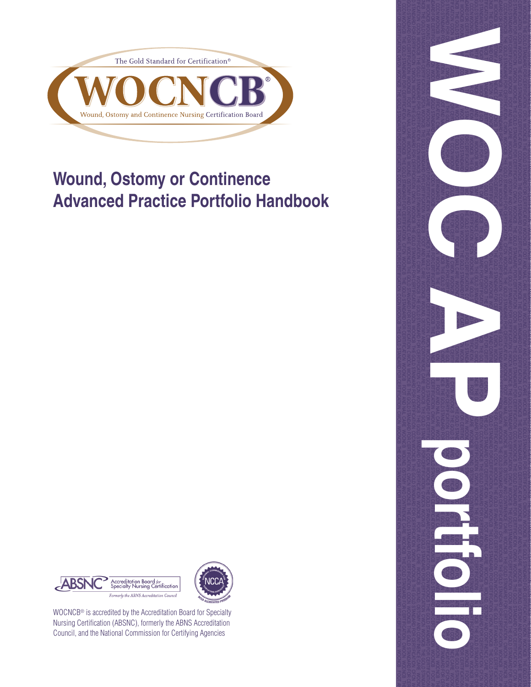

# **Wound, Ostomy or Continence Advanced Practice Portfolio Handbook**





WOCNCB® is accredited by the Accreditation Board for Specialty Nursing Certification (ABSNC), formerly the ABNS Accreditation Council, and the National Commission for Certifying Agencies

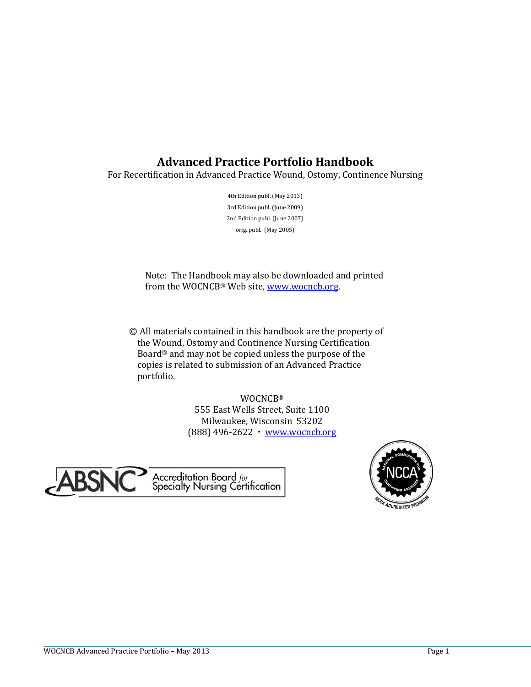# **Advanced Practice Portfolio Handbook**

For Recertification in Advanced Practice Wound, Ostomy, Continence Nursing

4th Edition publ. (May 2013) 3rd Edition publ. (June 2009) 2nd Edition publ. (June 2007) orig. publ. (May 2005)

Note: The Handbook may also be downloaded and printed from the WOCNCB® Web site, [www.wocncb.org.](http://www.wocncb.org/)

© All materials contained in this handbook are the property of the Wound, Ostomy and Continence Nursing Certification Board® and may not be copied unless the purpose of the copies is related to submission of an Advanced Practice portfolio.

> WOCNCB® 555 East Wells Street, Suite 1100 Milwaukee, Wisconsin 53202 (888) 496-2622 [www.wocncb.org](http://www.wocncb.org/)



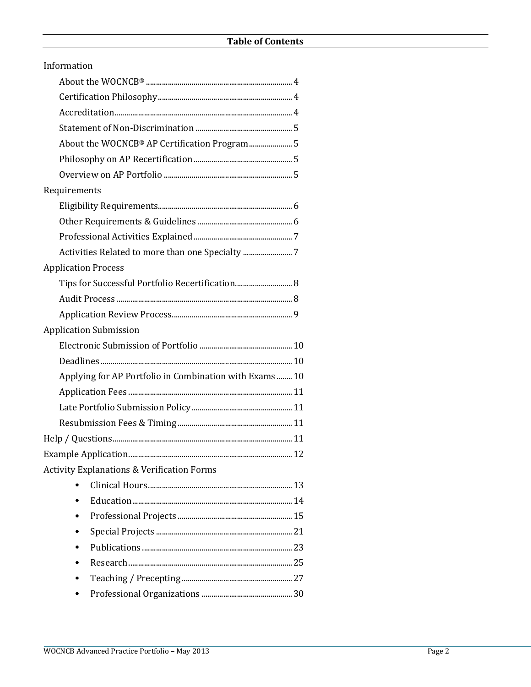| Information                                           |
|-------------------------------------------------------|
|                                                       |
|                                                       |
|                                                       |
|                                                       |
| About the WOCNCB® AP Certification Program5           |
|                                                       |
|                                                       |
| Requirements                                          |
|                                                       |
|                                                       |
|                                                       |
| Activities Related to more than one Specialty         |
| <b>Application Process</b>                            |
|                                                       |
|                                                       |
|                                                       |
| <b>Application Submission</b>                         |
|                                                       |
|                                                       |
| Applying for AP Portfolio in Combination with Exams10 |
|                                                       |
|                                                       |
|                                                       |
|                                                       |
|                                                       |
| <b>Activity Explanations &amp; Verification Forms</b> |
|                                                       |
|                                                       |
|                                                       |
|                                                       |
|                                                       |
|                                                       |
|                                                       |
|                                                       |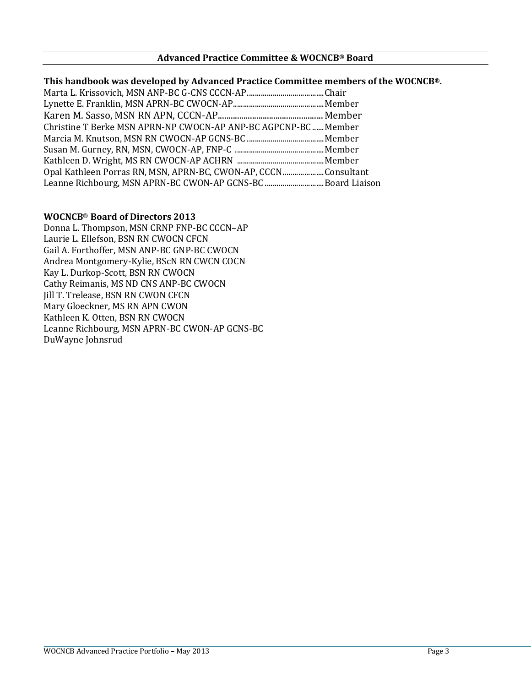## **Advanced Practice Committee & WOCNCB® Board**

## **This handbook was developed by Advanced Practice Committee members of the WOCNCB®.**

| Christine T Berke MSN APRN-NP CWOCN-AP ANP-BC AGPCNP-BC Member |  |
|----------------------------------------------------------------|--|
|                                                                |  |
|                                                                |  |
|                                                                |  |
| Opal Kathleen Porras RN, MSN, APRN-BC, CWON-AP, CCCNConsultant |  |
| Leanne Richbourg, MSN APRN-BC CWON-AP GCNS-BC Board Liaison    |  |

## **WOCNCB**® **Board of Directors 2013**

Donna L. Thompson, MSN CRNP FNP-BC CCCN–AP Laurie L. Ellefson, BSN RN CWOCN CFCN Gail A. Forthoffer, MSN ANP-BC GNP-BC CWOCN Andrea Montgomery-Kylie, BScN RN CWCN COCN Kay L. Durkop-Scott, BSN RN CWOCN Cathy Reimanis, MS ND CNS ANP-BC CWOCN Jill T. Trelease, BSN RN CWON CFCN Mary Gloeckner, MS RN APN CWON Kathleen K. Otten, BSN RN CWOCN Leanne Richbourg, MSN APRN-BC CWON-AP GCNS-BC DuWayne Johnsrud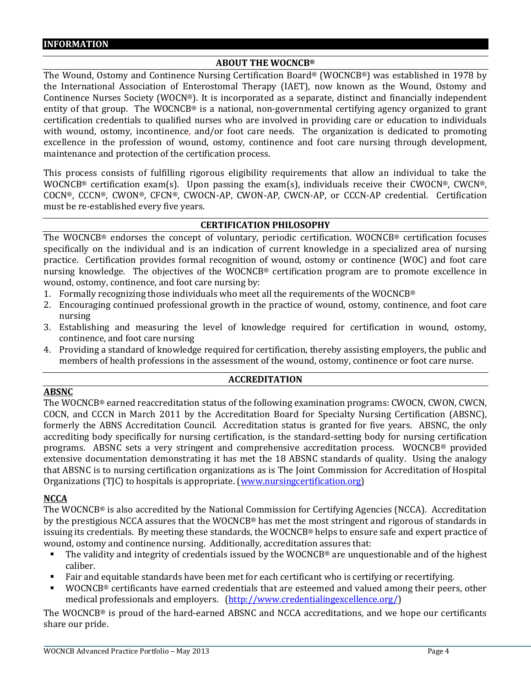## **ABOUT THE WOCNCB®**

The Wound, Ostomy and Continence Nursing Certification Board® (WOCNCB®) was established in 1978 by the International Association of Enterostomal Therapy (IAET), now known as the Wound, Ostomy and Continence Nurses Society (WOCN®). It is incorporated as a separate, distinct and financially independent entity of that group. The WOCNCB® is a national, non-governmental certifying agency organized to grant certification credentials to qualified nurses who are involved in providing care or education to individuals with wound, ostomy, incontinence, and/or foot care needs. The organization is dedicated to promoting excellence in the profession of wound, ostomy, continence and foot care nursing through development, maintenance and protection of the certification process.

This process consists of fulfilling rigorous eligibility requirements that allow an individual to take the WOCNCB® certification exam(s). Upon passing the exam(s), individuals receive their CWOCN®, CWCN®, COCN®, CCCN®, CWON®, CFCN®, CWOCN-AP, CWON-AP, CWCN-AP, or CCCN-AP credential. Certification must be re-established every five years.

## **CERTIFICATION PHILOSOPHY**

The WOCNCB® endorses the concept of voluntary, periodic certification. WOCNCB® certification focuses specifically on the individual and is an indication of current knowledge in a specialized area of nursing practice. Certification provides formal recognition of wound, ostomy or continence (WOC) and foot care nursing knowledge. The objectives of the WOCNCB® certification program are to promote excellence in wound, ostomy, continence, and foot care nursing by:

- 1. Formally recognizing those individuals who meet all the requirements of the WOCNCB<sup>®</sup>
- 2. Encouraging continued professional growth in the practice of wound, ostomy, continence, and foot care nursing
- 3. Establishing and measuring the level of knowledge required for certification in wound, ostomy, continence, and foot care nursing
- 4. Providing a standard of knowledge required for certification, thereby assisting employers, the public and members of health professions in the assessment of the wound, ostomy, continence or foot care nurse.

## **ACCREDITATION**

## **ABSNC**

The WOCNCB® earned reaccreditation status of the following examination programs: CWOCN, CWON, CWCN, COCN, and CCCN in March 2011 by the Accreditation Board for Specialty Nursing Certification (ABSNC), formerly the ABNS Accreditation Council. Accreditation status is granted for five years. ABSNC, the only accrediting body specifically for nursing certification, is the standard-setting body for nursing certification programs. ABSNC sets a very stringent and comprehensive accreditation process. WOCNCB® provided extensive documentation demonstrating it has met the 18 ABSNC standards of quality. Using the analogy that ABSNC is to nursing certification organizations as is The Joint Commission for Accreditation of Hospital Organizations (TJC) to hospitals is appropriate. [\(www.nursingcertification.org\)](http://www.nursingcertification.org/)

## **NCCA**

The WOCNCB® is also accredited by the National Commission for Certifying Agencies (NCCA). Accreditation by the prestigious NCCA assures that the WOCNCB® has met the most stringent and rigorous of standards in issuing its credentials. By meeting these standards, the WOCNCB® helps to ensure safe and expert practice of wound, ostomy and continence nursing. Additionally, accreditation assures that:

- The validity and integrity of credentials issued by the WOCNCB® are unquestionable and of the highest caliber.
- Fair and equitable standards have been met for each certificant who is certifying or recertifying.
- WOCNCB® certificants have earned credentials that are esteemed and valued among their peers, other medical professionals and employers. [\(http://www.credentialingexcellence.org/\)](http://www.credentialingexcellence.org/)

The WOCNCB® is proud of the hard-earned ABSNC and NCCA accreditations, and we hope our certificants share our pride.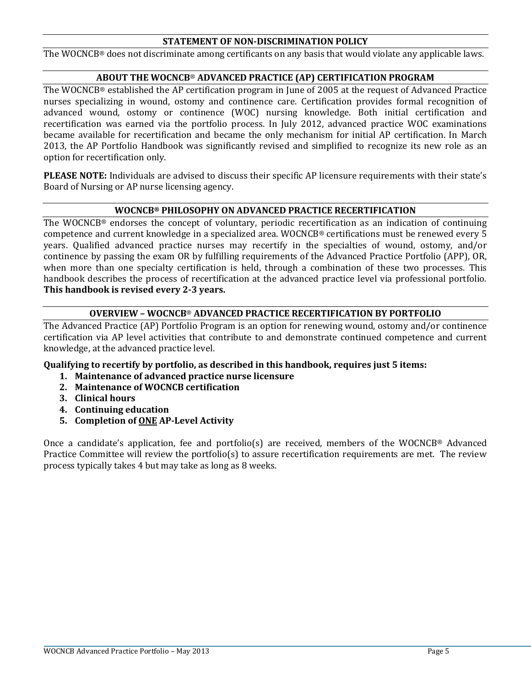## **STATEMENT OF NON-DISCRIMINATION POLICY**

The WOCNCB® does not discriminate among certificants on any basis that would violate any applicable laws.

## **ABOUT THE WOCNCB**® **ADVANCED PRACTICE (AP) CERTIFICATION PROGRAM**

The WOCNCB® established the AP certification program in June of 2005 at the request of Advanced Practice nurses specializing in wound, ostomy and continence care. Certification provides formal recognition of advanced wound, ostomy or continence (WOC) nursing knowledge. Both initial certification and recertification was earned via the portfolio process. In July 2012, advanced practice WOC examinations became available for recertification and became the only mechanism for initial AP certification. In March 2013, the AP Portfolio Handbook was significantly revised and simplified to recognize its new role as an option for recertification only.

**PLEASE NOTE:** Individuals are advised to discuss their specific AP licensure requirements with their state's Board of Nursing or AP nurse licensing agency.

## **WOCNCB® PHILOSOPHY ON ADVANCED PRACTICE RECERTIFICATION**

The WOCNCB® endorses the concept of voluntary, periodic recertification as an indication of continuing competence and current knowledge in a specialized area. WOCNCB® certifications must be renewed every 5 years. Qualified advanced practice nurses may recertify in the specialties of wound, ostomy, and/or continence by passing the exam OR by fulfilling requirements of the Advanced Practice Portfolio (APP), OR, when more than one specialty certification is held, through a combination of these two processes. This handbook describes the process of recertification at the advanced practice level via professional portfolio. **This handbook is revised every 2-3 years.**

## **OVERVIEW – WOCNCB**® **ADVANCED PRACTICE RECERTIFICATION BY PORTFOLIO**

The Advanced Practice (AP) Portfolio Program is an option for renewing wound, ostomy and/or continence certification via AP level activities that contribute to and demonstrate continued competence and current knowledge, at the advanced practice level.

## **Qualifying to recertify by portfolio, as described in this handbook, requires just 5 items:**

- **1. Maintenance of advanced practice nurse licensure**
- **2. Maintenance of WOCNCB certification**
- **3. Clinical hours**
- **4. Continuing education**
- **5. Completion of ONE AP-Level Activity**

Once a candidate's application, fee and portfolio(s) are received, members of the WOCNCB® Advanced Practice Committee will review the portfolio(s) to assure recertification requirements are met. The review process typically takes 4 but may take as long as 8 weeks.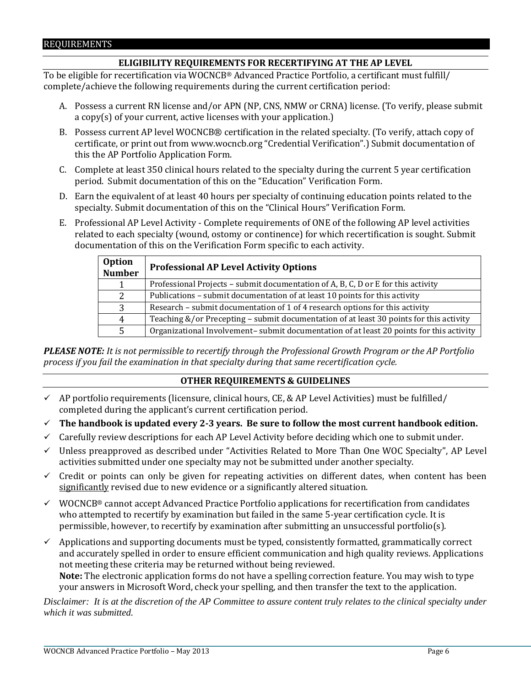## REQUIREMENTS

## **ELIGIBILITY REQUIREMENTS FOR RECERTIFYING AT THE AP LEVEL**

To be eligible for recertification via WOCNCB® Advanced Practice Portfolio, a certificant must fulfill/ complete/achieve the following requirements during the current certification period:

- A. Possess a current RN license and/or APN (NP, CNS, NMW or CRNA) license. (To verify, please submit a copy(s) of your current, active licenses with your application.)
- B. Possess current AP level WOCNCB® certification in the related specialty. (To verify, attach copy of certificate, or print out fro[m www.wocncb.org](http://www.wocncb.org/) "Credential Verification".) Submit documentation of this the AP Portfolio Application Form.
- C. Complete at least 350 clinical hours related to the specialty during the current 5 year certification period. Submit documentation of this on the "Education" Verification Form.
- D. Earn the equivalent of at least 40 hours per specialty of continuing education points related to the specialty. Submit documentation of this on the "Clinical Hours" Verification Form.
- E. Professional AP Level Activity Complete requirements of ONE of the following AP level activities related to each specialty (wound, ostomy or continence) for which recertification is sought. Submit documentation of this on the Verification Form specific to each activity.

| <b>Option</b><br><b>Number</b> | <b>Professional AP Level Activity Options</b>                                           |
|--------------------------------|-----------------------------------------------------------------------------------------|
|                                | Professional Projects - submit documentation of A, B, C, D or E for this activity       |
| 2                              | Publications - submit documentation of at least 10 points for this activity             |
| 3                              | Research – submit documentation of 1 of 4 research options for this activity            |
| $\overline{4}$                 | Teaching &/or Precepting - submit documentation of at least 30 points for this activity |
| 5                              | Organizational Involvement-submit documentation of at least 20 points for this activity |

*PLEASE NOTE: It is not permissible to recertify through the Professional Growth Program or the AP Portfolio process if you fail the examination in that specialty during that same recertification cycle.*

## **OTHER REQUIREMENTS & GUIDELINES**

- $\checkmark$  AP portfolio requirements (licensure, clinical hours, CE, & AP Level Activities) must be fulfilled/ completed during the applicant's current certification period.
- **The handbook is updated every 2-3 years. Be sure to follow the most current handbook edition.**
- $\checkmark$  Carefully review descriptions for each AP Level Activity before deciding which one to submit under.
- $\checkmark$  Unless preapproved as described under "Activities Related to More Than One WOC Specialty", AP Level activities submitted under one specialty may not be submitted under another specialty.
- $\checkmark$  Credit or points can only be given for repeating activities on different dates, when content has been significantly revised due to new evidence or a significantly altered situation.
- $\checkmark$  WOCNCB® cannot accept Advanced Practice Portfolio applications for recertification from candidates who attempted to recertify by examination but failed in the same 5-year certification cycle. It is permissible, however, to recertify by examination after submitting an unsuccessful portfolio(s).
- $\checkmark$  Applications and supporting documents must be typed, consistently formatted, grammatically correct and accurately spelled in order to ensure efficient communication and high quality reviews. Applications not meeting these criteria may be returned without being reviewed. **Note:** The electronic application forms do not have a spelling correction feature. You may wish to type your answers in Microsoft Word, check your spelling, and then transfer the text to the application.

*Disclaimer: It is at the discretion of the AP Committee to assure content truly relates to the clinical specialty under which it was submitted.*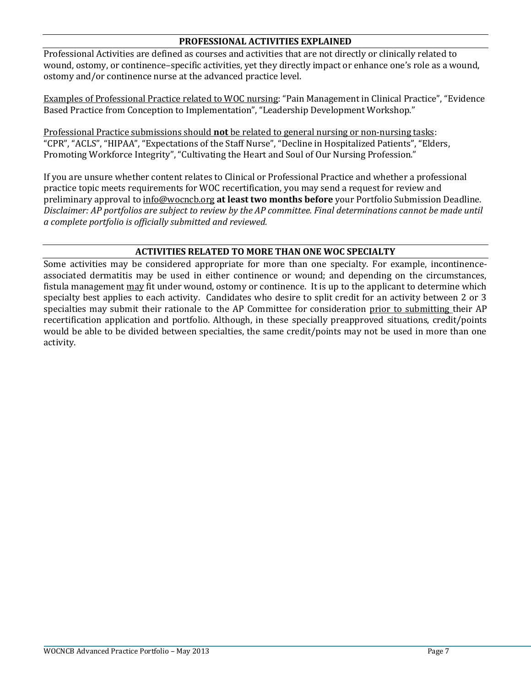## **PROFESSIONAL ACTIVITIES EXPLAINED**

Professional Activities are defined as courses and activities that are not directly or clinically related to wound, ostomy, or continence–specific activities, yet they directly impact or enhance one's role as a wound, ostomy and/or continence nurse at the advanced practice level.

Examples of Professional Practice related to WOC nursing: "Pain Management in Clinical Practice", "Evidence Based Practice from Conception to Implementation", "Leadership Development Workshop."

Professional Practice submissions should **not** be related to general nursing or non-nursing tasks: "CPR", "ACLS", "HIPAA", "Expectations of the Staff Nurse", "Decline in Hospitalized Patients", "Elders, Promoting Workforce Integrity", "Cultivating the Heart and Soul of Our Nursing Profession."

If you are unsure whether content relates to Clinical or Professional Practice and whether a professional practice topic meets requirements for WOC recertification, you may send a request for review and preliminary approval to info@wocncb.org **at least two months before** your Portfolio Submission Deadline. *Disclaimer: AP portfolios are subject to review by the AP committee. Final determinations cannot be made until a complete portfolio is officially submitted and reviewed.*

## **ACTIVITIES RELATED TO MORE THAN ONE WOC SPECIALTY**

Some activities may be considered appropriate for more than one specialty. For example, incontinenceassociated dermatitis may be used in either continence or wound; and depending on the circumstances, fistula management may fit under wound, ostomy or continence. It is up to the applicant to determine which specialty best applies to each activity. Candidates who desire to split credit for an activity between 2 or 3 specialties may submit their rationale to the AP Committee for consideration prior to submitting their AP recertification application and portfolio. Although, in these specially preapproved situations, credit/points would be able to be divided between specialties, the same credit/points may not be used in more than one activity.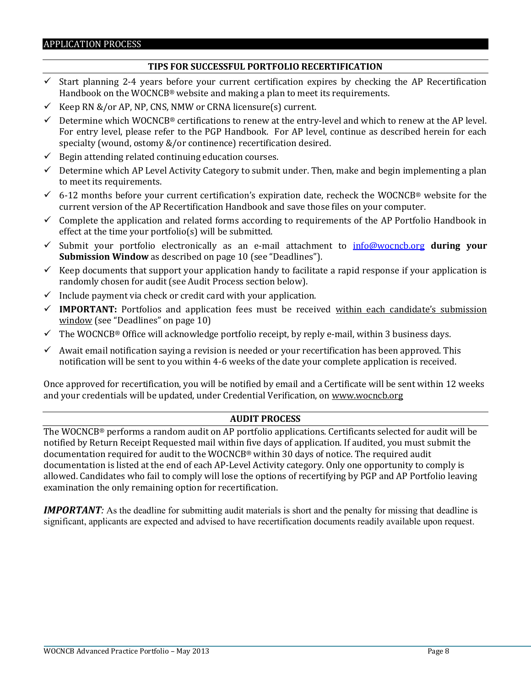## **TIPS FOR SUCCESSFUL PORTFOLIO RECERTIFICATION**

- $\checkmark$  Start planning 2-4 years before your current certification expires by checking the AP Recertification Handbook on the WOCNCB® website and making a plan to meet its requirements.
- Keep RN &/or AP, NP, CNS, NMW or CRNA licensure(s) current.
- $\checkmark$  Determine which WOCNCB® certifications to renew at the entry-level and which to renew at the AP level. For entry level, please refer to the PGP Handbook. For AP level, continue as described herein for each specialty (wound, ostomy &/or continence) recertification desired.
- $\checkmark$  Begin attending related continuing education courses.
- $\checkmark$  Determine which AP Level Activity Category to submit under. Then, make and begin implementing a plan to meet its requirements.
- $6-12$  months before your current certification's expiration date, recheck the WOCNCB® website for the current version of the AP Recertification Handbook and save those files on your computer.
- $\checkmark$  Complete the application and related forms according to requirements of the AP Portfolio Handbook in effect at the time your portfolio(s) will be submitted.
- Submit your portfolio electronically as an e-mail attachment to [info@wocncb.org](mailto:info@wocncb.org) **during your Submission Window** as described on page 10 (see "Deadlines").
- $\checkmark$  Keep documents that support your application handy to facilitate a rapid response if your application is randomly chosen for audit (see Audit Process section below).
- $\checkmark$  Include payment via check or credit card with your application.
- $\checkmark$  **IMPORTANT:** Portfolios and application fees must be received within each candidate's submission window (see "Deadlines" on page 10)
- $\checkmark$  The WOCNCB® Office will acknowledge portfolio receipt, by reply e-mail, within 3 business days.
- $\checkmark$  Await email notification saying a revision is needed or your recertification has been approved. This notification will be sent to you within 4-6 weeks of the date your complete application is received.

Once approved for recertification, you will be notified by email and a Certificate will be sent within 12 weeks and your credentials will be updated, under Credential Verification, on [www.wocncb.org](http://www.wocncb.org/)

## **AUDIT PROCESS**

The WOCNCB® performs a random audit on AP portfolio applications. Certificants selected for audit will be notified by Return Receipt Requested mail within five days of application. If audited, you must submit the documentation required for audit to the WOCNCB® within 30 days of notice. The required audit documentation is listed at the end of each AP-Level Activity category. Only one opportunity to comply is allowed. Candidates who fail to comply will lose the options of recertifying by PGP and AP Portfolio leaving examination the only remaining option for recertification.

*IMPORTANT:* As the deadline for submitting audit materials is short and the penalty for missing that deadline is significant, applicants are expected and advised to have recertification documents readily available upon request.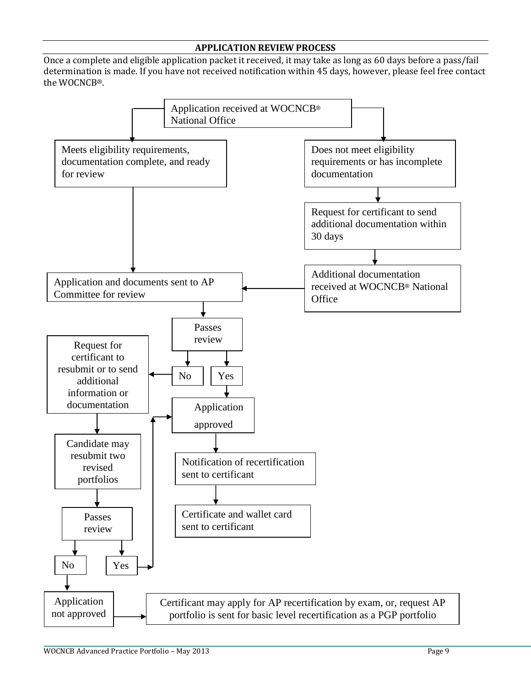## **APPLICATION REVIEW PROCESS**

Once a complete and eligible application packet it received, it may take as long as 60 days before a pass/fail determination is made. If you have not received notification within 45 days, however, please feel free contact the WOCNCB®.

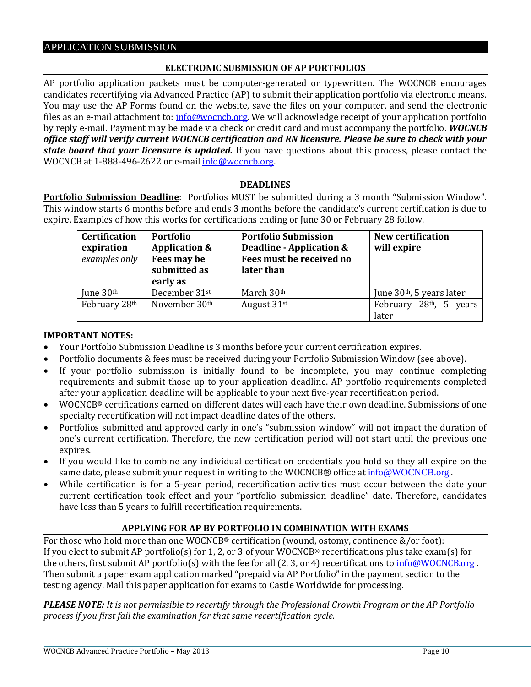## **ELECTRONIC SUBMISSION OF AP PORTFOLIOS**

AP portfolio application packets must be computer-generated or typewritten. The WOCNCB encourages candidates recertifying via Advanced Practice (AP) to submit their application portfolio via electronic means. You may use the AP Forms found on the website, save the files on your computer, and send the electronic files as an e-mail attachment to: [info@wocncb.org.](mailto:info@wocncb.org) We will acknowledge receipt of your application portfolio by reply e-mail. Payment may be made via check or credit card and must accompany the portfolio. *WOCNCB office staff will verify current WOCNCB certification and RN licensure. Please be sure to check with your state board that your licensure is updated.* If you have questions about this process, please contact the WOCNCB at 1-888-496-2622 or e-mai[l info@wocncb.org.](mailto:info@wocncb.org)

## **DEADLINES**

**Portfolio Submission Deadline**: Portfolios MUST be submitted during a 3 month "Submission Window". This window starts 6 months before and ends 3 months before the candidate's current certification is due to expire. Examples of how this works for certifications ending or June 30 or February 28 follow.

| <b>Certification</b><br>expiration<br>examples only | Portfolio<br><b>Application &amp;</b><br>Fees may be<br>submitted as<br>early as | <b>Portfolio Submission</b><br>Deadline - Application &<br>Fees must be received no<br>later than | <b>New certification</b><br>will expire      |
|-----------------------------------------------------|----------------------------------------------------------------------------------|---------------------------------------------------------------------------------------------------|----------------------------------------------|
| June $30th$                                         | December 31st                                                                    | March 30th                                                                                        | June $30th$ , 5 years later                  |
| February 28th                                       | November 30th                                                                    | August 31st                                                                                       | February 28 <sup>th</sup> , 5 years<br>later |

## **IMPORTANT NOTES:**

- Your Portfolio Submission Deadline is 3 months before your current certification expires.
- Portfolio documents & fees must be received during your Portfolio Submission Window (see above).
- If your portfolio submission is initially found to be incomplete, you may continue completing requirements and submit those up to your application deadline. AP portfolio requirements completed after your application deadline will be applicable to your next five-year recertification period.
- WOCNCB® certifications earned on different dates will each have their own deadline. Submissions of one specialty recertification will not impact deadline dates of the others.
- Portfolios submitted and approved early in one's "submission window" will not impact the duration of one's current certification. Therefore, the new certification period will not start until the previous one expires.
- If you would like to combine any individual certification credentials you hold so they all expire on the same date, please submit your request in writing to the WOCNCB® office at  $\frac{info@WOCNCB.org}{info@WOCNCB.org}$  $\frac{info@WOCNCB.org}{info@WOCNCB.org}$  $\frac{info@WOCNCB.org}{info@WOCNCB.org}$ .
- While certification is for a 5-year period, recertification activities must occur between the date your current certification took effect and your "portfolio submission deadline" date. Therefore, candidates have less than 5 years to fulfill recertification requirements.

## **APPLYING FOR AP BY PORTFOLIO IN COMBINATION WITH EXAMS**

For those who hold more than one WOCNCB® certification (wound, ostomy, continence &/or foot): If you elect to submit AP portfolio(s) for 1, 2, or 3 of your WOCNCB® recertifications plus take exam(s) for the others, first submit AP portfolio(s) with the fee for all (2, 3, or 4) recertifications to  $\frac{info@WOCNCB.org}{info@WOCNCB.org}$ . Then submit a paper exam application marked "prepaid via AP Portfolio" in the payment section to the testing agency. Mail this paper application for exams to Castle Worldwide for processing.

*PLEASE NOTE: It is not permissible to recertify through the Professional Growth Program or the AP Portfolio process if you first fail the examination for that same recertification cycle.*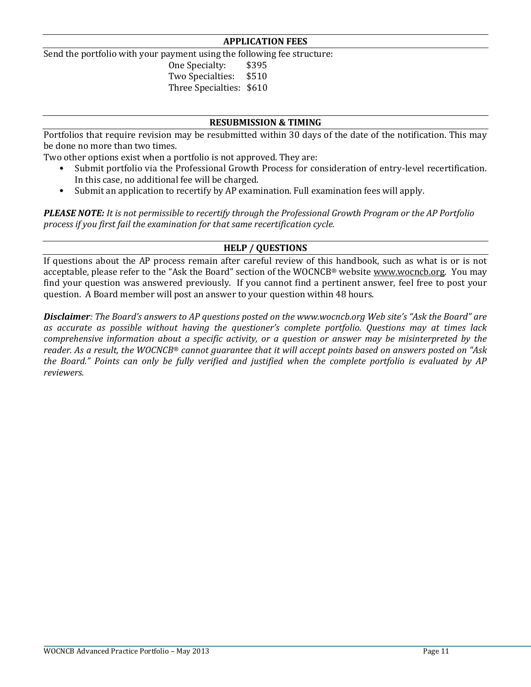## **APPLICATION FEES**

Send the portfolio with your payment using the following fee structure:

One Specialty: \$395 Two Specialties: \$510

Three Specialties: \$610

## **RESUBMISSION & TIMING**

Portfolios that require revision may be resubmitted within 30 days of the date of the notification. This may be done no more than two times.

Two other options exist when a portfolio is not approved. They are:

- Submit portfolio via the Professional Growth Process for consideration of entry-level recertification. In this case, no additional fee will be charged.
- Submit an application to recertify by AP examination. Full examination fees will apply.

*PLEASE NOTE: It is not permissible to recertify through the Professional Growth Program or the AP Portfolio process if you first fail the examination for that same recertification cycle.* 

## **HELP / QUESTIONS**

If questions about the AP process remain after careful review of this handbook, such as what is or is not acceptable, please refer to the "Ask the Board" section of the WOCNCB® websit[e www.wocncb.org.](http://www.wocncb.org/) You may find your question was answered previously. If you cannot find a pertinent answer, feel free to post your question. A Board member will post an answer to your question within 48 hours.

*Disclaimer: The Board's answers to AP questions posted on the www.wocncb.org Web site's "Ask the Board" are as accurate as possible without having the questioner's complete portfolio. Questions may at times lack comprehensive information about a specific activity, or a question or answer may be misinterpreted by the reader. As a result, the WOCNCB*® *cannot guarantee that it will accept points based on answers posted on "Ask the Board." Points can only be fully verified and justified when the complete portfolio is evaluated by AP reviewers.*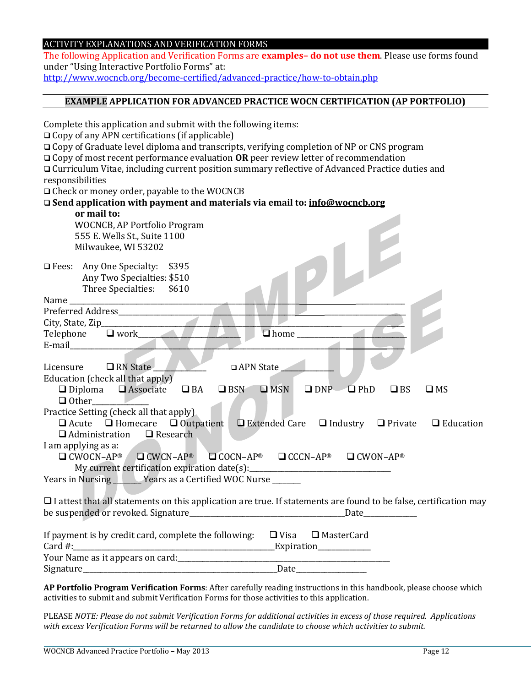## ACTIVITY EXPLANATIONS AND VERIFICATION FORMS

Complete this application and submit with the following items:

The following Application and Verification Forms are **examples– do not use them**. Please use forms found under "Using Interactive Portfolio Forms" at:

<http://www.wocncb.org/become-certified/advanced-practice/how-to-obtain.php>

## **EXAMPLE APPLICATION FOR ADVANCED PRACTICE WOCN CERTIFICATION (AP PORTFOLIO)**

| $\Box$ Copy of any APN certifications (if applicable)                                                                                                                                                                         |
|-------------------------------------------------------------------------------------------------------------------------------------------------------------------------------------------------------------------------------|
| $\Box$ Copy of Graduate level diploma and transcripts, verifying completion of NP or CNS program                                                                                                                              |
| $\Box$ Copy of most recent performance evaluation OR peer review letter of recommendation                                                                                                                                     |
| O Curriculum Vitae, including current position summary reflective of Advanced Practice duties and                                                                                                                             |
|                                                                                                                                                                                                                               |
| responsibilities                                                                                                                                                                                                              |
| □ Check or money order, payable to the WOCNCB                                                                                                                                                                                 |
| □ Send application with payment and materials via email to: info@wocncb.org                                                                                                                                                   |
| or mail to:                                                                                                                                                                                                                   |
| <b>WOCNCB, AP Portfolio Program</b>                                                                                                                                                                                           |
| 555 E. Wells St., Suite 1100                                                                                                                                                                                                  |
| Milwaukee, WI 53202                                                                                                                                                                                                           |
|                                                                                                                                                                                                                               |
| □ Fees: Any One Specialty: \$395                                                                                                                                                                                              |
| Any Two Specialties: \$510                                                                                                                                                                                                    |
| Three Specialties:<br>\$610                                                                                                                                                                                                   |
|                                                                                                                                                                                                                               |
|                                                                                                                                                                                                                               |
| City, State, Zip_                                                                                                                                                                                                             |
| $\square$ work<br>Telephone<br>$\Box$ home $\Box$                                                                                                                                                                             |
| E-mail and the contract of the contract of the contract of the contract of the contract of the contract of the                                                                                                                |
|                                                                                                                                                                                                                               |
| Licensure □ RN State<br>□ APN State                                                                                                                                                                                           |
| Education (check all that apply)                                                                                                                                                                                              |
| $\Box$ Diploma $\Box$ Associate<br>$\square$ DNP $\square$ PhD<br>$\Box$ BA<br>$\Box$ BSN<br>$\square$ MSN<br>$\Box$ BS<br>$\square$ MS                                                                                       |
| $\Box$ Other                                                                                                                                                                                                                  |
| Practice Setting (check all that apply).                                                                                                                                                                                      |
| $\Box$ Acute $\Box$ Homecare $\Box$ Outpatient<br>$\Box$ Extended Care $\Box$ Industry $\Box$ Private<br>$\Box$ Education                                                                                                     |
| $\Box$ Administration<br>$\Box$ Research                                                                                                                                                                                      |
| I am applying as a:                                                                                                                                                                                                           |
| $\Box$ CWOCN-AP®<br>$CWCN-AP^*$<br>$\Box$ COCN-AP <sup>®</sup> $\Box$ CCCN-AP <sup>®</sup><br>$\Box$ CWON-AP®                                                                                                                 |
| My current certification expiration date(s): ___________________________________                                                                                                                                              |
| Years in Nursing Vears as a Certified WOC Nurse                                                                                                                                                                               |
|                                                                                                                                                                                                                               |
| $\Box$ I attest that all statements on this application are true. If statements are found to be false, certification may                                                                                                      |
|                                                                                                                                                                                                                               |
|                                                                                                                                                                                                                               |
| If payment is by credit card, complete the following:<br>$\Box$ Visa $\Box$ MasterCard                                                                                                                                        |
| Card #:<br><u>Expiration</u>                                                                                                                                                                                                  |
|                                                                                                                                                                                                                               |
| Date and the same state of the state of the state of the state of the state of the state of the state of the state of the state of the state of the state of the state of the state of the state of the state of the state of |
|                                                                                                                                                                                                                               |

**AP Portfolio Program Verification Forms**: After carefully reading instructions in this handbook, please choose which activities to submit and submit Verification Forms for those activities to this application.

PLEASE *NOTE: Please do not submit Verification Forms for additional activities in excess of those required. Applications with excess Verification Forms will be returned to allow the candidate to choose which activities to submit.*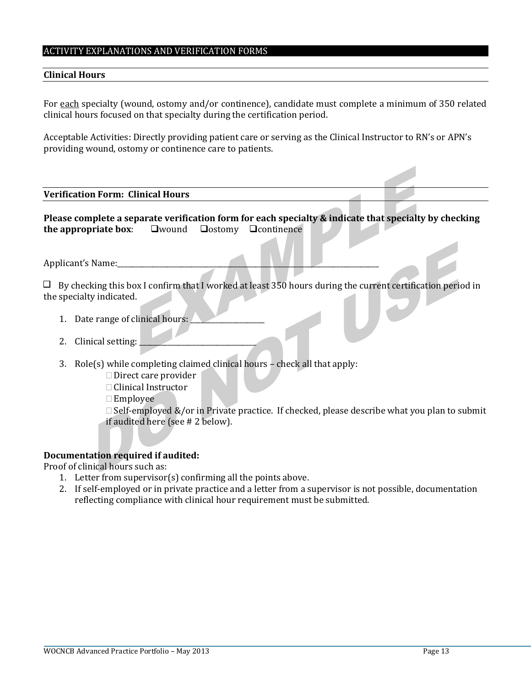#### ACTIVITY EXPLANATIONS AND VERIFICATION FORMS

#### **Clinical Hours**

For each specialty (wound, ostomy and/or continence), candidate must complete a minimum of 350 related clinical hours focused on that specialty during the certification period.

Acceptable Activities: Directly providing patient care or serving as the Clinical Instructor to RN's or APN's providing wound, ostomy or continence care to patients.

#### **Verification Form: Clinical Hours**

**Please complete a separate verification form for each specialty & indicate that specialty by checking the appropriate box:**  $\square$  wound  $\square$  ostomy  $\square$  continence

Applicant's Name:

 $\Box$  By checking this box I confirm that I worked at least 350 hours during the current certification period in the specialty indicated.

- 1. Date range of clinical hours:
- 2. Clinical setting:
- 3. Role(s) while completing claimed clinical hours check all that apply:
	- $\Box$  Direct care provider
	- □ Clinical Instructor
	- $\square$  Employee

 $\Box$  Self-employed &/or in Private practice. If checked, please describe what you plan to submit if audited here (see # 2 below).

#### **Documentation required if audited:**

Proof of clinical hours such as:

- 1. Letter from supervisor(s) confirming all the points above.
- 2. If self-employed or in private practice and a letter from a supervisor is not possible, documentation reflecting compliance with clinical hour requirement must be submitted.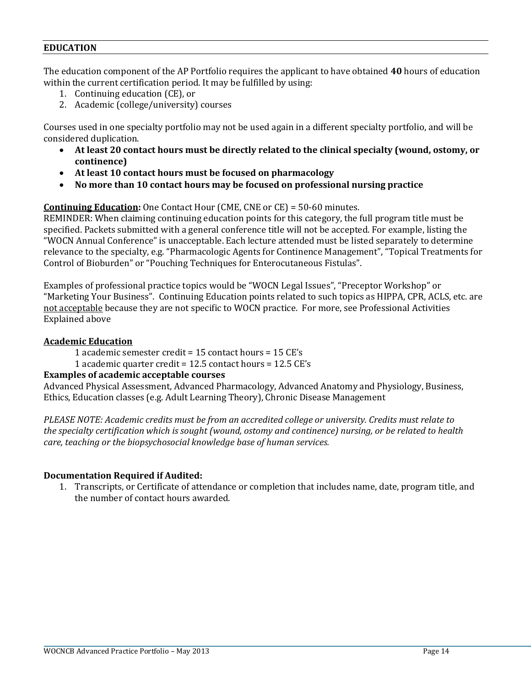## **EDUCATION**

The education component of the AP Portfolio requires the applicant to have obtained **40** hours of education within the current certification period. It may be fulfilled by using:

- 1. Continuing education (CE), or
- 2. Academic (college/university) courses

Courses used in one specialty portfolio may not be used again in a different specialty portfolio, and will be considered duplication.

- **At least 20 contact hours must be directly related to the clinical specialty (wound, ostomy, or continence)**
- **At least 10 contact hours must be focused on pharmacology**
- **No more than 10 contact hours may be focused on professional nursing practice**

**Continuing Education:** One Contact Hour (CME, CNE or CE) = 50-60 minutes.

REMINDER: When claiming continuing education points for this category, the full program title must be specified. Packets submitted with a general conference title will not be accepted. For example, listing the "WOCN Annual Conference" is unacceptable. Each lecture attended must be listed separately to determine relevance to the specialty, e.g. "Pharmacologic Agents for Continence Management", "Topical Treatments for Control of Bioburden" or "Pouching Techniques for Enterocutaneous Fistulas".

Examples of professional practice topics would be "WOCN Legal Issues", "Preceptor Workshop" or "Marketing Your Business". Continuing Education points related to such topics as HIPPA, CPR, ACLS, etc. are not acceptable because they are not specific to WOCN practice. For more, see Professional Activities Explained above

## **Academic Education**

1 academic semester credit = 15 contact hours = 15 CE's

1 academic quarter credit = 12.5 contact hours = 12.5 CE's

## **Examples of academic acceptable courses**

Advanced Physical Assessment, Advanced Pharmacology, Advanced Anatomy and Physiology, Business, Ethics, Education classes (e.g. Adult Learning Theory), Chronic Disease Management

*PLEASE NOTE: Academic credits must be from an accredited college or university. Credits must relate to the specialty certification which is sought (wound, ostomy and continence) nursing, or be related to health care, teaching or the biopsychosocial knowledge base of human services.*

## **Documentation Required if Audited:**

1. Transcripts, or Certificate of attendance or completion that includes name, date, program title, and the number of contact hours awarded.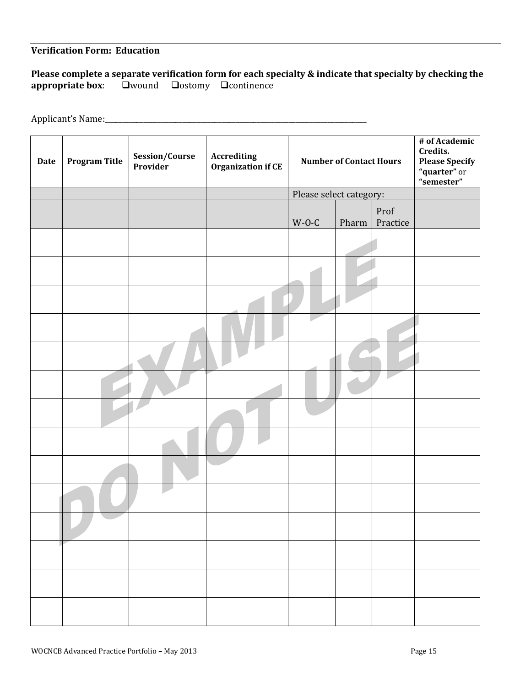## **Verification Form: Education**

## **Please complete a separate verification form for each specialty & indicate that specialty by checking the appropriate box:**  $\square$ wound  $\square$ ostomy  $\square$ continence **appropriate box**: wound ostomy continence

Applicant's Name:\_\_\_\_\_\_\_\_\_\_\_\_\_\_\_\_\_\_\_\_\_\_\_\_\_\_\_\_\_\_\_\_\_\_\_\_\_\_\_\_\_\_\_\_\_\_\_\_\_\_\_\_\_\_\_\_\_\_\_\_\_\_\_\_\_\_\_\_\_\_\_\_\_\_

| <b>Date</b> | <b>Program Title</b> | Session/Course<br>Provider | Accrediting<br><b>Organization if CE</b> | <b>Number of Contact Hours</b> |       |                  | # of Academic<br>Credits.<br><b>Please Specify</b><br>"quarter" or<br>"semester" |
|-------------|----------------------|----------------------------|------------------------------------------|--------------------------------|-------|------------------|----------------------------------------------------------------------------------|
|             |                      |                            |                                          | Please select category:        |       |                  |                                                                                  |
|             |                      |                            |                                          | $W-O-C$                        | Pharm | Prof<br>Practice |                                                                                  |
|             |                      |                            |                                          |                                |       |                  |                                                                                  |
|             |                      |                            |                                          |                                |       |                  |                                                                                  |
|             |                      |                            |                                          |                                |       |                  |                                                                                  |
|             |                      |                            |                                          |                                |       |                  |                                                                                  |
|             |                      |                            |                                          |                                |       |                  |                                                                                  |
|             |                      |                            |                                          |                                |       |                  |                                                                                  |
|             |                      |                            |                                          |                                |       |                  |                                                                                  |
|             |                      |                            |                                          |                                |       |                  |                                                                                  |
|             |                      |                            |                                          |                                |       |                  |                                                                                  |
|             |                      |                            |                                          |                                |       |                  |                                                                                  |
|             |                      |                            |                                          |                                |       |                  |                                                                                  |
|             |                      |                            |                                          |                                |       |                  |                                                                                  |
|             |                      |                            |                                          |                                |       |                  |                                                                                  |
|             |                      |                            |                                          |                                |       |                  |                                                                                  |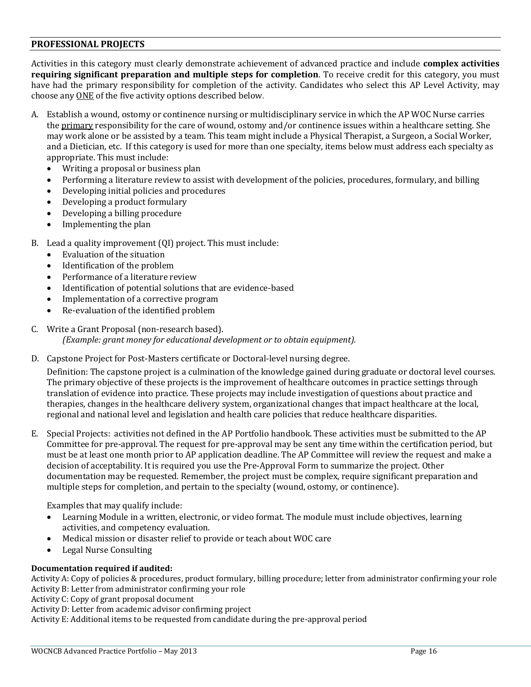#### **PROFESSIONAL PROJECTS**

Activities in this category must clearly demonstrate achievement of advanced practice and include **complex activities requiring significant preparation and multiple steps for completion**. To receive credit for this category, you must have had the primary responsibility for completion of the activity. Candidates who select this AP Level Activity, may choose any ONE of the five activity options described below.

- A. Establish a wound, ostomy or continence nursing or multidisciplinary service in which the AP WOC Nurse carries the primary responsibility for the care of wound, ostomy and/or continence issues within a healthcare setting. She may work alone or be assisted by a team. This team might include a Physical Therapist, a Surgeon, a Social Worker, and a Dietician, etc. If this category is used for more than one specialty, items below must address each specialty as appropriate. This must include:
	- Writing a proposal or business plan
	- Performing a literature review to assist with development of the policies, procedures, formulary, and billing
	- Developing initial policies and procedures
	- Developing a product formulary
	- Developing a billing procedure
	- Implementing the plan
- B. Lead a quality improvement (QI) project. This must include:
	- Evaluation of the situation
	- Identification of the problem
	- Performance of a literature review
	- Identification of potential solutions that are evidence-based
	- Implementation of a corrective program
	- Re-evaluation of the identified problem
- C. Write a Grant Proposal (non-research based). *(Example: grant money for educational development or to obtain equipment).*
- D. Capstone Project for Post-Masters certificate or Doctoral-level nursing degree.

Definition: The capstone project is a culmination of the knowledge gained during graduate or doctoral level courses. The primary objective of these projects is the improvement of healthcare outcomes in practice settings through translation of evidence into practice. These projects may include investigation of questions about practice and therapies, changes in the healthcare delivery system, organizational changes that impact healthcare at the local, regional and national level and legislation and health care policies that reduce healthcare disparities.

E. Special Projects: activities not defined in the AP Portfolio handbook. These activities must be submitted to the AP Committee for pre-approval. The request for pre-approval may be sent any time within the certification period, but must be at least one month prior to AP application deadline. The AP Committee will review the request and make a decision of acceptability. It is required you use the Pre-Approval Form to summarize the project. Other documentation may be requested. Remember, the project must be complex, require significant preparation and multiple steps for completion, and pertain to the specialty (wound, ostomy, or continence).

Examples that may qualify include:

- Learning Module in a written, electronic, or video format. The module must include objectives, learning activities, and competency evaluation.
- Medical mission or disaster relief to provide or teach about WOC care
- Legal Nurse Consulting

## **Documentation required if audited:**

Activity A: Copy of policies & procedures, product formulary, billing procedure; letter from administrator confirming your role Activity B: Letter from administrator confirming your role

Activity C: Copy of grant proposal document

Activity D: Letter from academic advisor confirming project

Activity E: Additional items to be requested from candidate during the pre-approval period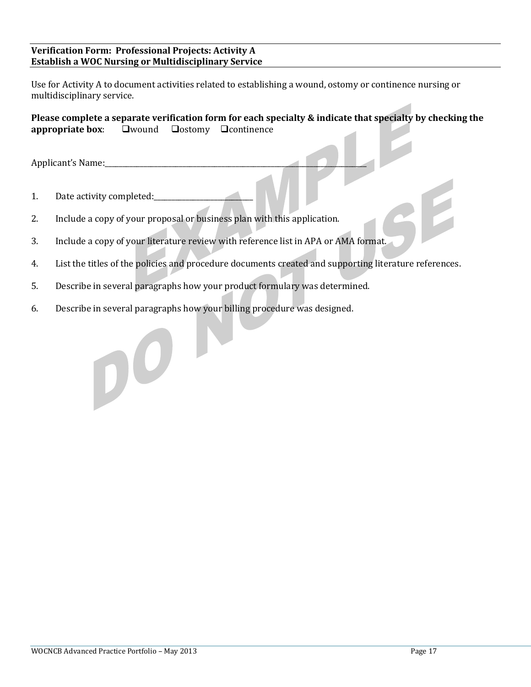## **Verification Form: Professional Projects: Activity A Establish a WOC Nursing or Multidisciplinary Service**

Use for Activity A to document activities related to establishing a wound, ostomy or continence nursing or multidisciplinary service.

**Please complete a separate verification form for each specialty & indicate that specialty by checking the appropriate box:** Wound Dostomy Deontinence

Applicant's Name:

1. Date activity completed:

 $\mathbf{D}^{\mathbf{O}}$ 

- 2. Include a copy of your proposal or business plan with this application.
- 3. Include a copy of your literature review with reference list in APA or AMA format.
- 4. List the titles of the policies and procedure documents created and supporting literature references.
- 5. Describe in several paragraphs how your product formulary was determined.
- 6. Describe in several paragraphs how your billing procedure was designed.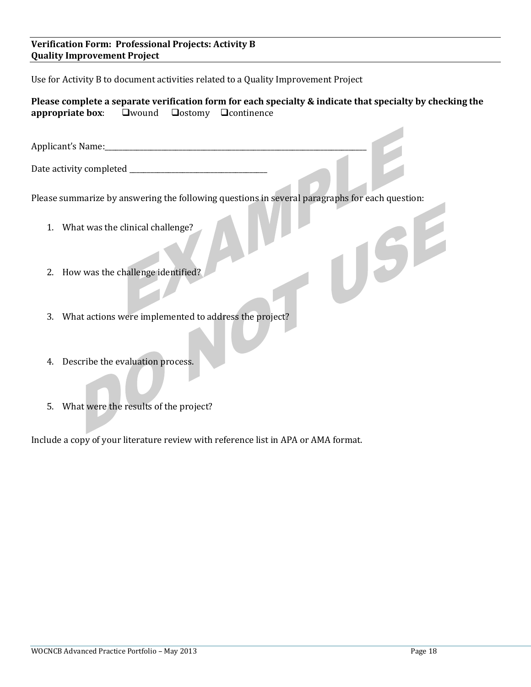## **Verification Form: Professional Projects: Activity B Quality Improvement Project**

Use for Activity B to document activities related to a Quality Improvement Project

**Please complete a separate verification form for each specialty & indicate that specialty by checking the appropriate box:**  $\square$  wound  $\square$  ostomy  $\square$  continence

Applicant's Name:\_\_\_\_\_\_\_\_\_\_\_\_\_\_\_\_\_\_\_\_\_\_\_\_\_\_\_\_\_\_\_\_\_\_\_\_\_\_\_\_\_\_\_\_\_\_\_\_\_\_\_\_\_\_\_\_\_\_\_\_\_\_\_\_\_\_\_\_\_\_\_\_\_\_

Date activity completed \_\_\_\_\_\_\_\_\_\_\_\_\_\_\_\_\_\_\_\_\_\_\_\_\_\_\_\_\_\_\_\_\_\_\_\_\_\_\_

Please summarize by answering the following questions in several paragraphs for each question:

- 1. What was the clinical challenge?
- 2. How was the challenge identified?
- 3. What actions were implemented to address the project?
- 4. Describe the evaluation process.
- 5. What were the results of the project?

Include a copy of your literature review with reference list in APA or AMA format.

USF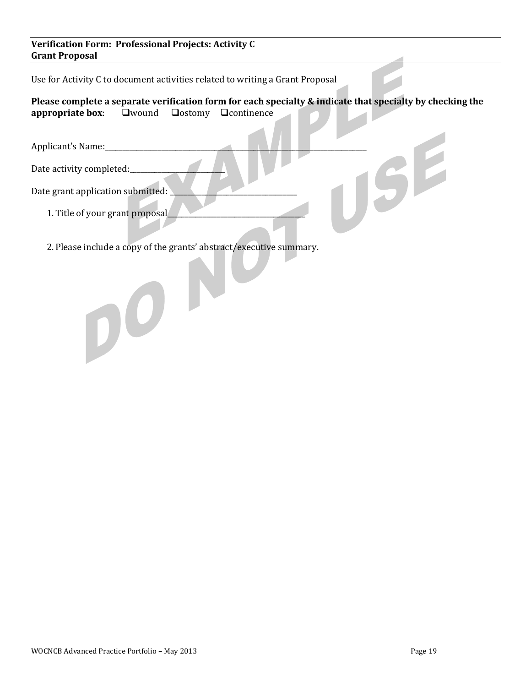## **Verification Form: Professional Projects: Activity C Grant Proposal**

Use for Activity C to document activities related to writing a Grant Proposal

**Please complete a separate verification form for each specialty & indicate that specialty by checking the appropriate box: Qwound Qostomy Quentinence** 

Date activity completed:

Applicant's Name:<br>Date activity completed:<br>Date grant application submitted:<br>1 Title of Date grant application submitted:

1. Title of your grant proposal

 $\mathbf{D}^{\mathbf{O}}$ 

2. Please include a copy of the grants' abstract/executive summary.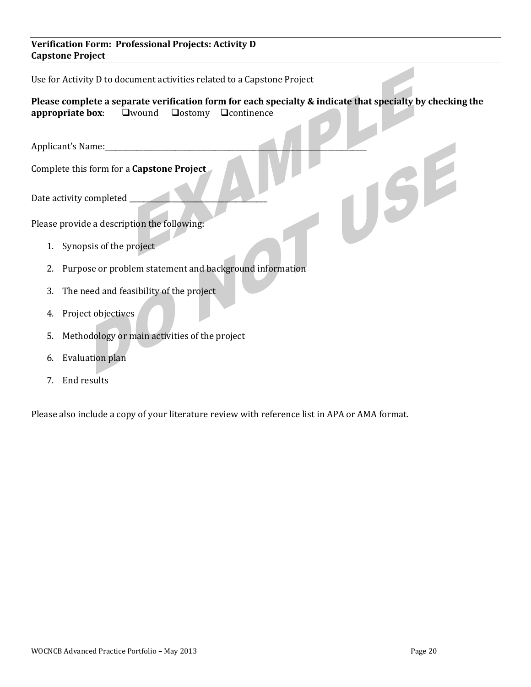## **Verification Form: Professional Projects: Activity D Capstone Project**

Use for Activity D to document activities related to a Capstone Project

**Please complete a separate verification form for each specialty & indicate that specialty by checking the appropriate box:**  $\square$  wound  $\square$  ostomy  $\square$  continence

Applicant's Name:\_\_\_\_\_\_\_\_\_\_\_\_\_\_\_\_\_\_\_\_\_\_\_\_\_\_\_\_\_\_\_\_\_\_\_\_\_\_\_\_\_\_\_\_\_\_\_\_\_\_\_\_\_\_\_\_\_\_\_\_\_\_\_\_\_\_\_\_\_\_\_\_\_\_ Complete this form for a **Capstone Project**

Date activity completed \_\_\_\_\_\_\_\_\_\_\_\_\_\_\_\_\_\_\_\_\_\_\_\_\_\_\_\_\_\_\_\_\_\_\_\_\_\_\_

Please provide a description the following:

- 1. Synopsis of the project
- 2. Purpose or problem statement and background information
- 3. The need and feasibility of the project
- 4. Project objectives
- 5. Methodology or main activities of the project
- 6. Evaluation plan
- 7. End results

Please also include a copy of your literature review with reference list in APA or AMA format.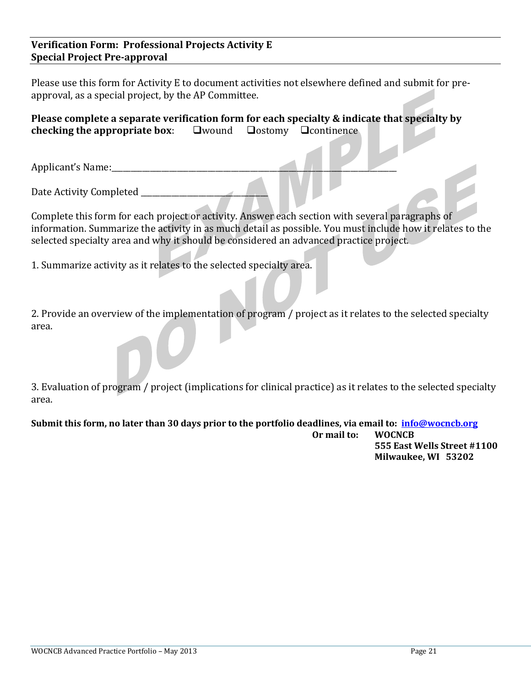## **Verification Form: Professional Projects Activity E Special Project Pre-approval**

Please use this form for Activity E to document activities not elsewhere defined and submit for preapproval, as a special project, by the AP Committee.

**Please complete a separate verification form for each specialty & indicate that specialty by checking the appropriate box:**  $\square$  wound  $\square$  ostomy  $\square$  continence

Applicant's Name:

Date Activity Completed \_

Complete this form for each project or activity. Answer each section with several paragraphs of information. Summarize the activity in as much detail as possible. You must include how it relates to the selected specialty area and why it should be considered an advanced practice project.

1. Summarize activity as it relates to the selected specialty area.

2. Provide an overview of the implementation of program / project as it relates to the selected specialty area.

3. Evaluation of program / project (implications for clinical practice) as it relates to the selected specialty area.

**Submit this form, no later than 30 days prior to the portfolio deadlines, via email to: [info@wocncb.org](mailto:info@wocncb.org) Or mail to: WOCNCB**

**555 East Wells Street #1100 Milwaukee, WI 53202**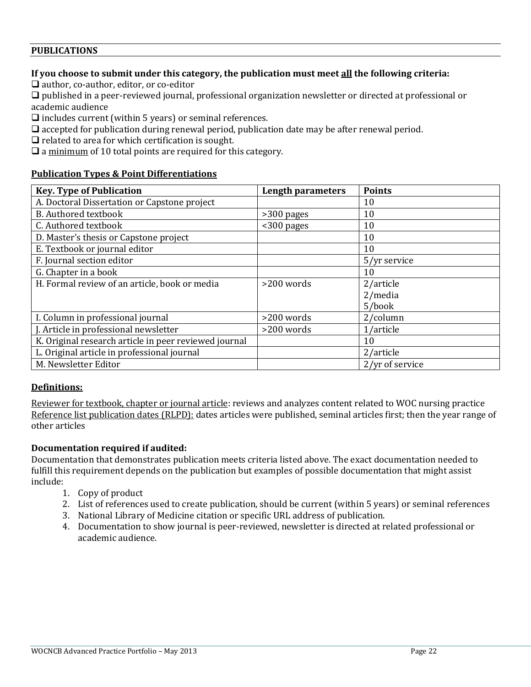## **PUBLICATIONS**

## **If you choose to submit under this category, the publication must meet all the following criteria:**

 $\Box$  author, co-author, editor, or co-editor

 published in a peer-reviewed journal, professional organization newsletter or directed at professional or academic audience

includes current (within 5 years) or seminal references*.*

 $\Box$  accepted for publication during renewal period, publication date may be after renewal period.

 $\Box$  related to area for which certification is sought.

 $\Box$  a minimum of 10 total points are required for this category.

## **Publication Types & Point Differentiations**

| <b>Key. Type of Publication</b>                       | <b>Length parameters</b> | <b>Points</b>   |
|-------------------------------------------------------|--------------------------|-----------------|
| A. Doctoral Dissertation or Capstone project          |                          | 10              |
| <b>B.</b> Authored textbook                           | >300 pages               | 10              |
| C. Authored textbook                                  | $<$ 300 pages            | 10              |
| D. Master's thesis or Capstone project                |                          | 10              |
| E. Textbook or journal editor                         |                          | 10              |
| F. Journal section editor                             |                          | 5/yr service    |
| G. Chapter in a book                                  |                          | 10              |
| H. Formal review of an article, book or media         | $>200$ words             | 2/article       |
|                                                       |                          | $2/m$ edia      |
|                                                       |                          | 5/book          |
| I. Column in professional journal                     | >200 words               | $2$ /column     |
| J. Article in professional newsletter                 | >200 words               | 1/article       |
| K. Original research article in peer reviewed journal |                          | 10              |
| L. Original article in professional journal           |                          | 2/article       |
| M. Newsletter Editor                                  |                          | 2/yr of service |

## **Definitions:**

Reviewer for textbook, chapter or journal article: reviews and analyzes content related to WOC nursing practice Reference list publication dates (RLPD): dates articles were published, seminal articles first; then the year range of other articles

## **Documentation required if audited:**

Documentation that demonstrates publication meets criteria listed above. The exact documentation needed to fulfill this requirement depends on the publication but examples of possible documentation that might assist include:

- 1. Copy of product
- 2. List of references used to create publication, should be current (within 5 years) or seminal references
- 3. National Library of Medicine citation or specific URL address of publication.
- 4. Documentation to show journal is peer-reviewed, newsletter is directed at related professional or academic audience.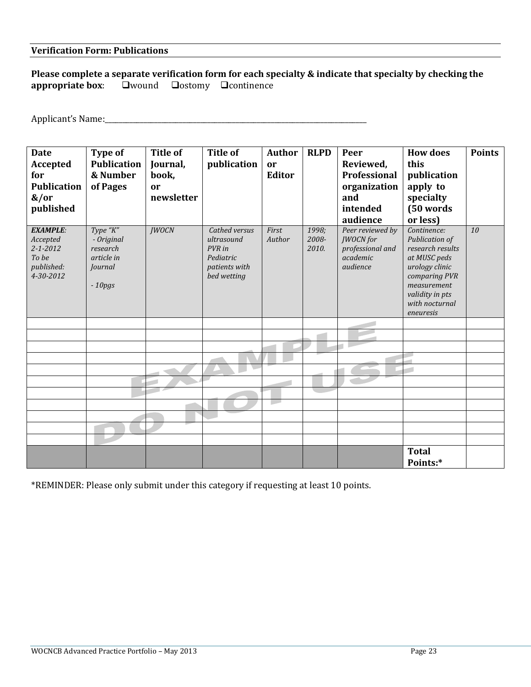#### **Verification Form: Publications**

**Please complete a separate verification form for each specialty & indicate that specialty by checking the appropriate box:**  $\square$ wound  $\square$ ostomy  $\square$ continence **a**wound **a**ostomy **a**continence

Applicant's Name:\_\_\_\_\_\_\_\_\_\_\_\_\_\_\_\_\_\_\_\_\_\_\_\_\_\_\_\_\_\_\_\_\_\_\_\_\_\_\_\_\_\_\_\_\_\_\_\_\_\_\_\_\_\_\_\_\_\_\_\_\_\_\_\_\_\_\_\_\_\_\_\_\_\_

| <b>Date</b><br><b>Accepted</b><br>for<br><b>Publication</b><br>$\frac{a}{c}$<br>published | Type of<br><b>Publication</b><br>& Number<br>of Pages                   | <b>Title of</b><br>Journal,<br>book,<br>or<br>newsletter | <b>Title of</b><br>publication                                                     | <b>Author</b><br>or<br><b>Editor</b> | <b>RLPD</b>             | Peer<br>Reviewed,<br>Professional<br>organization<br>and<br>intended<br>audience | <b>How does</b><br>this<br>publication<br>apply to<br>specialty<br>(50 words<br>or less)                                                                              | <b>Points</b> |
|-------------------------------------------------------------------------------------------|-------------------------------------------------------------------------|----------------------------------------------------------|------------------------------------------------------------------------------------|--------------------------------------|-------------------------|----------------------------------------------------------------------------------|-----------------------------------------------------------------------------------------------------------------------------------------------------------------------|---------------|
| <b>EXAMPLE:</b><br>Accepted<br>$2 - 1 - 2012$<br>To be<br>published:<br>4-30-2012         | Type "K"<br>- Original<br>research<br>article in<br>Journal<br>$-10pgs$ | <b>JWOCN</b>                                             | Cathed versus<br>ultrasound<br>PVR in<br>Pediatric<br>patients with<br>bed wetting | First<br>Author                      | 1998;<br>2008-<br>2010. | Peer reviewed by<br><b>JWOCN</b> for<br>professional and<br>academic<br>audience | Continence:<br>Publication of<br>research results<br>at MUSC peds<br>urology clinic<br>comparing PVR<br>measurement<br>validity in pts<br>with nocturnal<br>eneuresis | 10            |
|                                                                                           |                                                                         |                                                          |                                                                                    |                                      |                         |                                                                                  |                                                                                                                                                                       |               |
|                                                                                           |                                                                         |                                                          |                                                                                    |                                      |                         |                                                                                  |                                                                                                                                                                       |               |
|                                                                                           |                                                                         |                                                          |                                                                                    |                                      |                         |                                                                                  |                                                                                                                                                                       |               |
|                                                                                           |                                                                         |                                                          |                                                                                    |                                      |                         |                                                                                  |                                                                                                                                                                       |               |
|                                                                                           |                                                                         |                                                          |                                                                                    |                                      |                         |                                                                                  |                                                                                                                                                                       |               |
|                                                                                           |                                                                         |                                                          |                                                                                    |                                      |                         |                                                                                  |                                                                                                                                                                       |               |
|                                                                                           |                                                                         |                                                          |                                                                                    |                                      |                         |                                                                                  |                                                                                                                                                                       |               |
|                                                                                           |                                                                         |                                                          |                                                                                    |                                      |                         |                                                                                  |                                                                                                                                                                       |               |
|                                                                                           |                                                                         |                                                          |                                                                                    |                                      |                         |                                                                                  |                                                                                                                                                                       |               |
|                                                                                           |                                                                         |                                                          |                                                                                    |                                      |                         |                                                                                  |                                                                                                                                                                       |               |
|                                                                                           |                                                                         |                                                          |                                                                                    |                                      |                         |                                                                                  |                                                                                                                                                                       |               |
|                                                                                           |                                                                         |                                                          |                                                                                    |                                      |                         |                                                                                  | <b>Total</b><br>Points:*                                                                                                                                              |               |

\*REMINDER: Please only submit under this category if requesting at least 10 points.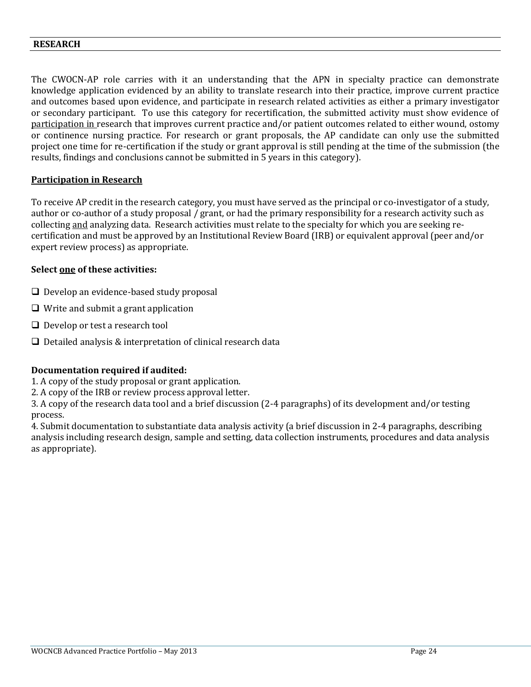#### **RESEARCH**

The CWOCN-AP role carries with it an understanding that the APN in specialty practice can demonstrate knowledge application evidenced by an ability to translate research into their practice, improve current practice and outcomes based upon evidence, and participate in research related activities as either a primary investigator or secondary participant. To use this category for recertification, the submitted activity must show evidence of participation in research that improves current practice and/or patient outcomes related to either wound, ostomy or continence nursing practice. For research or grant proposals, the AP candidate can only use the submitted project one time for re-certification if the study or grant approval is still pending at the time of the submission (the results, findings and conclusions cannot be submitted in 5 years in this category).

## **Participation in Research**

To receive AP credit in the research category, you must have served as the principal or co-investigator of a study, author or co-author of a study proposal / grant, or had the primary responsibility for a research activity such as collecting and analyzing data. Research activities must relate to the specialty for which you are seeking recertification and must be approved by an Institutional Review Board (IRB) or equivalent approval (peer and/or expert review process) as appropriate.

#### **Select one of these activities:**

- $\Box$  Develop an evidence-based study proposal
- $\Box$  Write and submit a grant application
- $\Box$  Develop or test a research tool
- $\Box$  Detailed analysis & interpretation of clinical research data

## **Documentation required if audited:**

- 1. A copy of the study proposal or grant application.
- 2. A copy of the IRB or review process approval letter.

3. A copy of the research data tool and a brief discussion (2-4 paragraphs) of its development and/or testing process.

4. Submit documentation to substantiate data analysis activity (a brief discussion in 2-4 paragraphs, describing analysis including research design, sample and setting, data collection instruments, procedures and data analysis as appropriate).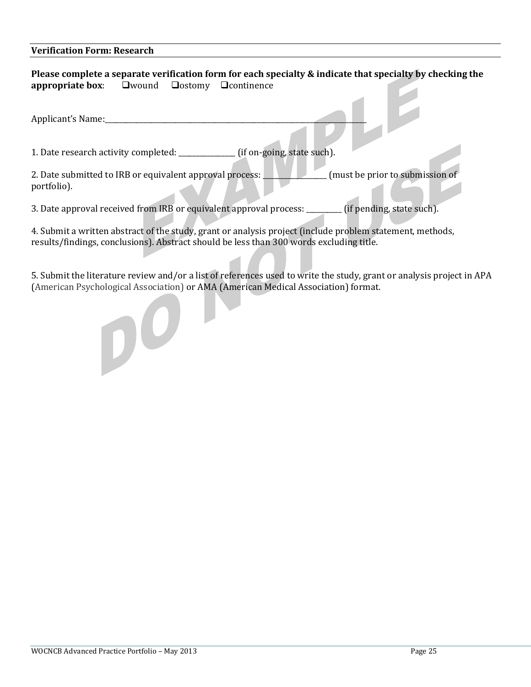#### **Verification Form: Research**

4. Submit a written abstract of the study, grant or analysis project (include problem statement, methods, results/findings, conclusions). Abstract should be less than 300 words excluding title.

5. Submit the literature review and/or a list of references used to write the study, grant or analysis project in APA (American Psychological Association) or AMA (American Medical Association) format.

DO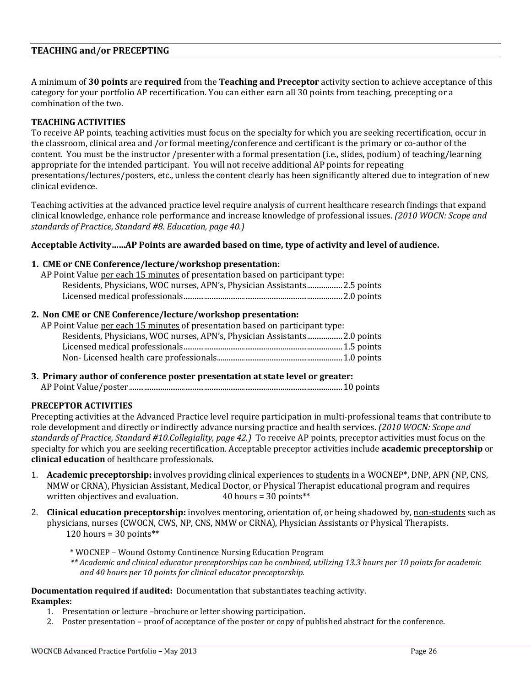## **TEACHING and/or PRECEPTING**

A minimum of **30 points** are **required** from the **Teaching and Preceptor** activity section to achieve acceptance of this category for your portfolio AP recertification. You can either earn all 30 points from teaching, precepting or a combination of the two.

## **TEACHING ACTIVITIES**

To receive AP points, teaching activities must focus on the specialty for which you are seeking recertification, occur in the classroom, clinical area and /or formal meeting/conference and certificant is the primary or co-author of the content. You must be the instructor /presenter with a formal presentation (i.e., slides, podium) of teaching/learning appropriate for the intended participant. You will not receive additional AP points for repeating presentations/lectures/posters, etc., unless the content clearly has been significantly altered due to integration of new clinical evidence.

Teaching activities at the advanced practice level require analysis of current healthcare research findings that expand clinical knowledge, enhance role performance and increase knowledge of professional issues. *(2010 WOCN: Scope and standards of Practice, Standard #8. Education, page 40.)* 

## **Acceptable Activity……AP Points are awarded based on time, type of activity and level of audience.**

#### **1. CME or CNE Conference/lecture/workshop presentation:**

| AP Point Value per each 15 minutes of presentation based on participant type: |  |
|-------------------------------------------------------------------------------|--|
| Residents, Physicians, WOC nurses, APN's, Physician Assistants2.5 points      |  |
|                                                                               |  |

#### **2. Non CME or CNE Conference/lecture/workshop presentation:**

| AP Point Value per each 15 minutes of presentation based on participant type: |  |
|-------------------------------------------------------------------------------|--|
|                                                                               |  |
|                                                                               |  |
|                                                                               |  |
|                                                                               |  |

**3. Primary author of conference poster presentation at state level or greater:**

AP Point Value/poster..................................................................................................................10 points

## **PRECEPTOR ACTIVITIES**

Precepting activities at the Advanced Practice level require participation in multi-professional teams that contribute to role development and directly or indirectly advance nursing practice and health services. *(2010 WOCN: Scope and standards of Practice, Standard #10.Collegiality, page 42.)* To receive AP points, preceptor activities must focus on the specialty for which you are seeking recertification. Acceptable preceptor activities include **academic preceptorship** or **clinical education** of healthcare professionals.

- 1. **Academic preceptorship:** involves providing clinical experiences to students in a WOCNEP\*, DNP, APN (NP, CNS, NMW or CRNA), Physician Assistant, Medical Doctor, or Physical Therapist educational program and requires written objectives and evaluation. <br> 40 hours = 30 points\*\*
- 2. **Clinical education preceptorship:** involves mentoring, orientation of, or being shadowed by, non-students such as physicians, nurses (CWOCN, CWS, NP, CNS, NMW or CRNA), Physician Assistants or Physical Therapists. 120 hours =  $30$  points\*\*

\* WOCNEP – Wound Ostomy Continence Nursing Education Program

*\*\* Academic and clinical educator preceptorships can be combined, utilizing 13.3 hours per 10 points for academic and 40 hours per 10 points for clinical educator preceptorship.*

## **Documentation required if audited:** Documentation that substantiates teaching activity.

**Examples:** 

- 1. Presentation or lecture –brochure or letter showing participation.
- 2. Poster presentation proof of acceptance of the poster or copy of published abstract for the conference.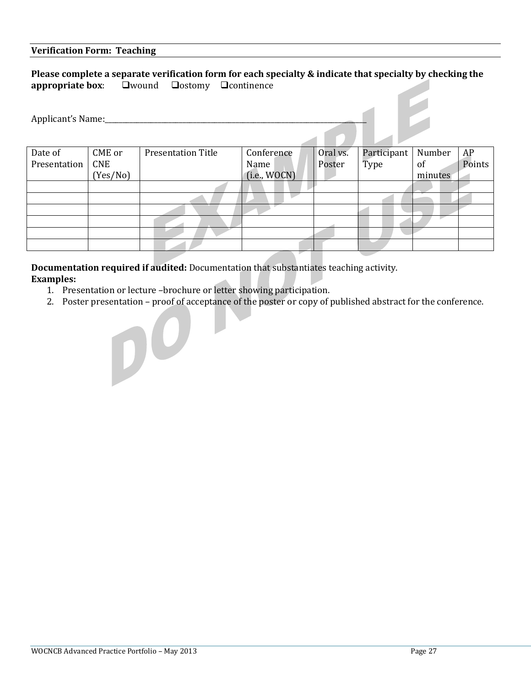#### **Verification Form: Teaching**

## **Please complete a separate verification form for each specialty & indicate that specialty by checking the appropriate box: Qwound Qostomy Qcontinence**

| Applicant's Name: |          |                           |              |          |             |         |        |
|-------------------|----------|---------------------------|--------------|----------|-------------|---------|--------|
| Date of           | CME or   | <b>Presentation Title</b> | Conference   | Oral vs. | Participant | Number  | AP     |
| Presentation      | CNE      |                           | Name         | Poster   | Type        | 0f      | Points |
|                   | (Yes/No) |                           | (i.e., WOCN) |          |             | minutes |        |
|                   |          |                           |              |          |             |         |        |
|                   |          |                           |              |          |             |         |        |
|                   |          |                           |              |          |             |         |        |
|                   |          |                           |              |          |             |         |        |
|                   |          |                           |              |          |             |         |        |
|                   |          |                           |              |          |             |         |        |

**Documentation required if audited:** Documentation that substantiates teaching activity. **Examples:** 

1. Presentation or lecture –brochure or letter showing participation.

 $\mathbf{D}^{\mathbf{O}}$ 

2. Poster presentation – proof of acceptance of the poster or copy of published abstract for the conference.

 $\overline{\phantom{0}}$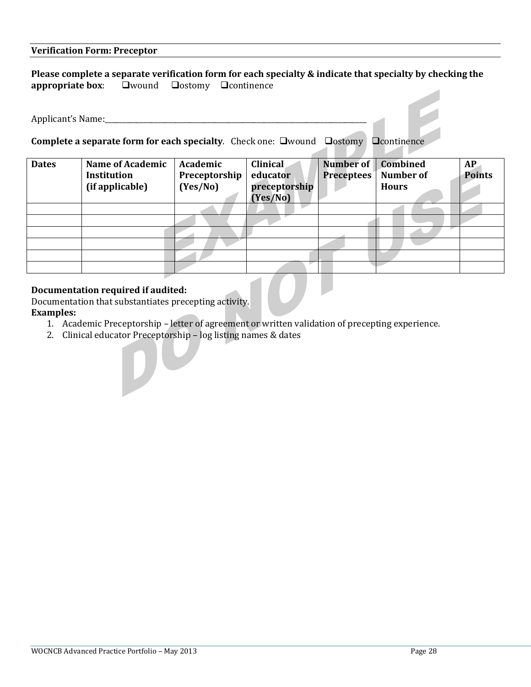## **Verification Form: Preceptor**

## **Please complete a separate verification form for each specialty & indicate that specialty by checking the appropriate box: Qwound Qostomy Qcontinence**

Applicant's Name:

**Complete a separate form for each specialty**. Check one: **Qwound Qostomy** 

|  | ⊔continence |  |
|--|-------------|--|
|  |             |  |

| <b>Dates</b> | <b>Name of Academic</b><br><b>Institution</b><br>(if applicable) | Academic<br>Preceptorship<br>(Yes/No) | <b>Clinical</b><br>educator<br>preceptorship<br>(Yes/No) | Number of<br><b>Preceptees</b> | Combined<br><b>Number of</b><br><b>Hours</b> | AP<br><b>Points</b> |
|--------------|------------------------------------------------------------------|---------------------------------------|----------------------------------------------------------|--------------------------------|----------------------------------------------|---------------------|
|              |                                                                  |                                       |                                                          |                                |                                              |                     |
|              |                                                                  |                                       |                                                          |                                |                                              |                     |
|              |                                                                  |                                       |                                                          |                                |                                              |                     |
|              |                                                                  |                                       |                                                          |                                |                                              |                     |
|              |                                                                  |                                       |                                                          |                                |                                              |                     |
|              |                                                                  |                                       |                                                          |                                |                                              |                     |

## **Documentation required if audited:**

Documentation that substantiates precepting activity. **Examples:** 

- 1. Academic Preceptorship letter of agreement or written validation of precepting experience.
- 2. Clinical educator Preceptorship log listing names & dates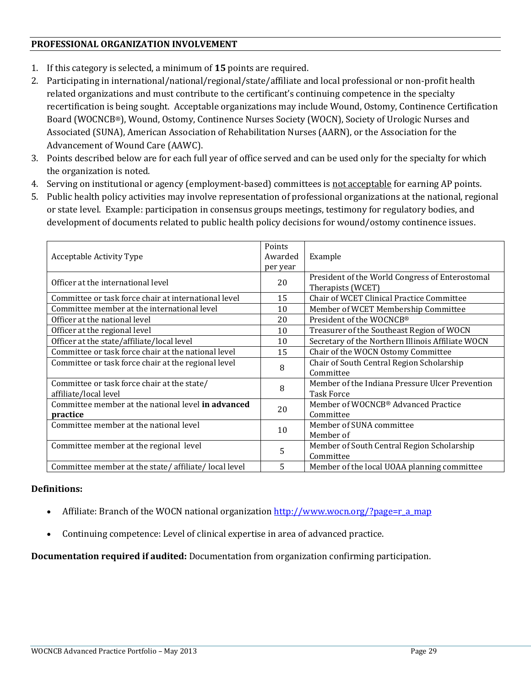## **PROFESSIONAL ORGANIZATION INVOLVEMENT**

- 1. If this category is selected, a minimum of **15** points are required.
- 2. Participating in international/national/regional/state/affiliate and local professional or non-profit health related organizations and must contribute to the certificant's continuing competence in the specialty recertification is being sought. Acceptable organizations may include Wound, Ostomy, Continence Certification Board (WOCNCB®), Wound, Ostomy, Continence Nurses Society (WOCN), Society of Urologic Nurses and Associated (SUNA), American Association of Rehabilitation Nurses (AARN), or the Association for the Advancement of Wound Care (AAWC).
- 3. Points described below are for each full year of office served and can be used only for the specialty for which the organization is noted.
- 4. Serving on institutional or agency (employment-based) committees is not acceptable for earning AP points.
- 5. Public health policy activities may involve representation of professional organizations at the national, regional or state level. Example: participation in consensus groups meetings, testimony for regulatory bodies, and development of documents related to public health policy decisions for wound/ostomy continence issues.

| Acceptable Activity Type                                             | Points<br>Awarded<br>per year | Example                                                              |
|----------------------------------------------------------------------|-------------------------------|----------------------------------------------------------------------|
| Officer at the international level                                   | 20                            | President of the World Congress of Enterostomal<br>Therapists (WCET) |
| Committee or task force chair at international level                 | 15                            | Chair of WCET Clinical Practice Committee                            |
| Committee member at the international level                          | 10                            | Member of WCET Membership Committee                                  |
| Officer at the national level                                        | 20                            | President of the WOCNCB®                                             |
| Officer at the regional level                                        | 10                            | Treasurer of the Southeast Region of WOCN                            |
| Officer at the state/affiliate/local level                           | 10                            | Secretary of the Northern Illinois Affiliate WOCN                    |
| Committee or task force chair at the national level                  | 15                            | Chair of the WOCN Ostomy Committee                                   |
| Committee or task force chair at the regional level                  | 8                             | Chair of South Central Region Scholarship<br>Committee               |
| Committee or task force chair at the state/<br>affiliate/local level | 8                             | Member of the Indiana Pressure Ulcer Prevention<br><b>Task Force</b> |
| Committee member at the national level in advanced<br>practice       | 20                            | Member of WOCNCB® Advanced Practice<br>Committee                     |
| Committee member at the national level                               | 10                            | Member of SUNA committee<br>Member of                                |
| Committee member at the regional level                               | 5                             | Member of South Central Region Scholarship<br>Committee              |
| Committee member at the state/affiliate/local level                  | 5                             | Member of the local UOAA planning committee                          |

## **Definitions:**

- Affiliate: Branch of the WOCN national organization [http://www.wocn.org/?page=r\\_a\\_map](http://www.wocn.org/?page=r_a_map)
- Continuing competence: Level of clinical expertise in area of advanced practice.

**Documentation required if audited:** Documentation from organization confirming participation.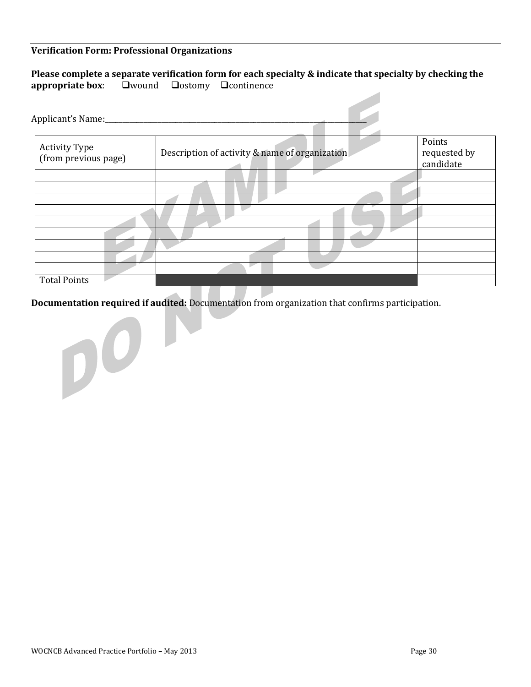#### **Verification Form: Professional Organizations**

|                                                                                                          |  | Please complete a separate verification form for each specialty & indicate that specialty by checking the |
|----------------------------------------------------------------------------------------------------------|--|-----------------------------------------------------------------------------------------------------------|
| <b>appropriate box:</b> $\qquad \qquad \Box$ Wound $\qquad \qquad \Box$ Oostomy $\qquad \Box$ Continence |  |                                                                                                           |

| Activity Type<br>(from previous page) | Description of activity & name of organization | Points<br>requested by<br>candidate |
|---------------------------------------|------------------------------------------------|-------------------------------------|
|                                       |                                                |                                     |
|                                       |                                                |                                     |
|                                       |                                                |                                     |
|                                       |                                                |                                     |
|                                       |                                                |                                     |
|                                       |                                                |                                     |
|                                       |                                                |                                     |
|                                       |                                                |                                     |
|                                       |                                                |                                     |
| <b>Total Points</b>                   |                                                |                                     |

**Documentation required if audited:** Documentation from organization that confirms participation.